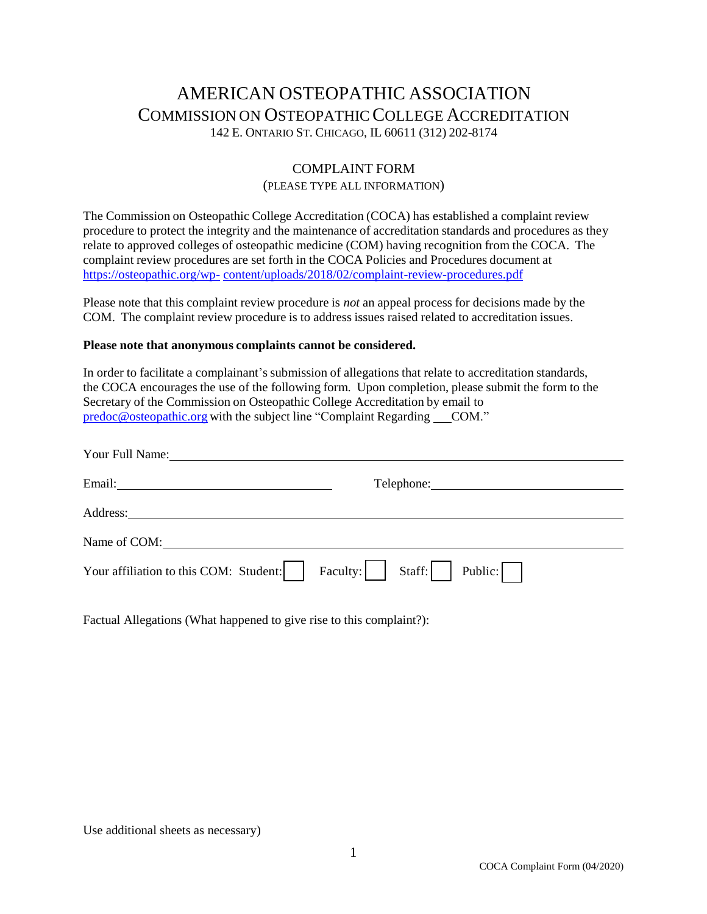## AMERICAN OSTEOPATHIC ASSOCIATION COMMISSION ON OSTEOPATHIC COLLEGE ACCREDITATION 142 E. ONTARIO ST. CHICAGO, IL 60611 (312) 202-8174

## COMPLAINT FORM

## (PLEASE TYPE ALL INFORMATION)

The Commission on Osteopathic College Accreditation (COCA) has established a complaint review procedure to protect the integrity and the maintenance of accreditation standards and procedures as they relate to approved colleges of osteopathic medicine (COM) having recognition from the COCA. The complaint review procedures are set forth in the COCA Policies and Procedures document at [https://osteopathic.org/wp-](https://osteopathic.org/wp-content/uploads/2018/02/complaint-review-procedures.pdf) [content/uploads/2018/02/complaint-review-procedures.pdf](https://osteopathic.org/wp-content/uploads/2018/02/complaint-review-procedures.pdf)

Please note that this complaint review procedure is *not* an appeal process for decisions made by the COM. The complaint review procedure is to address issues raised related to accreditation issues.

## **Please note that anonymous complaints cannot be considered.**

In order to facilitate a complainant's submission of allegations that relate to accreditation standards, the COCA encourages the use of the following form. Upon completion, please submit the form to the Secretary of the Commission on Osteopathic College Accreditation by email to [predoc@osteopathic.org](mailto:predoc@osteopathic.org) with the subject line "Complaint Regarding COM."

| Your Full Name:                                                                                                             |
|-----------------------------------------------------------------------------------------------------------------------------|
|                                                                                                                             |
|                                                                                                                             |
| Name of COM: Name of COM:                                                                                                   |
| $\begin{array}{ c c c c c c } \hline \end{array}$ Faculty: $\begin{array}{ c c c c c c } \hline \end{array}$ Staff: Public: |
|                                                                                                                             |

Factual Allegations (What happened to give rise to this complaint?):

Use additional sheets as necessary)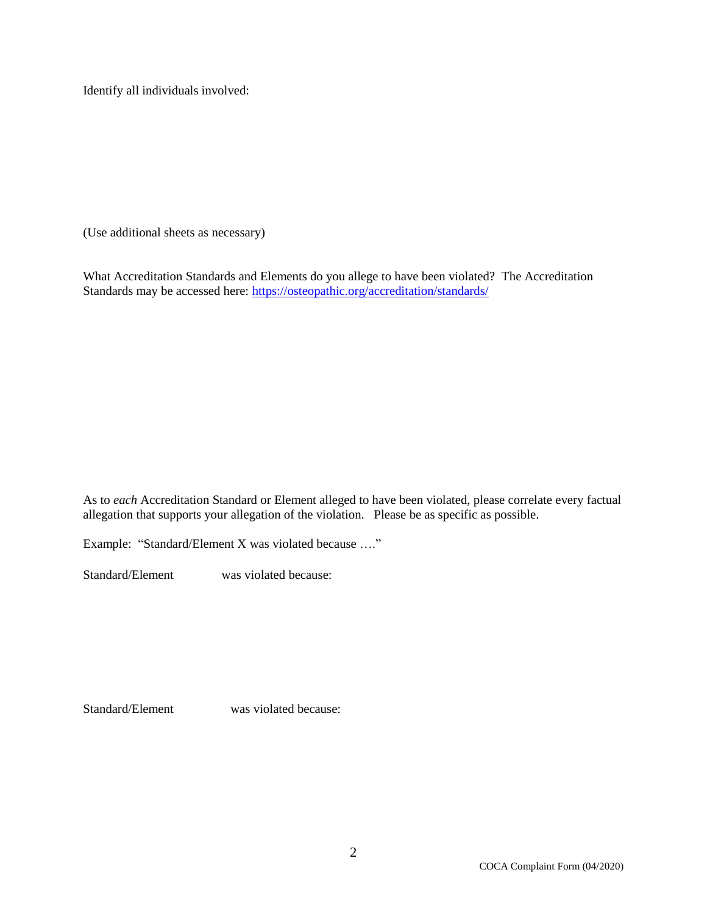Identify all individuals involved:

(Use additional sheets as necessary)

What Accreditation Standards and Elements do you allege to have been violated? The Accreditation Standards may be accessed here:<https://osteopathic.org/accreditation/standards/>

As to *each* Accreditation Standard or Element alleged to have been violated, please correlate every factual allegation that supports your allegation of the violation. Please be as specific as possible.

Example: "Standard/Element X was violated because …."

Standard/Element was violated because:

Standard/Element was violated because: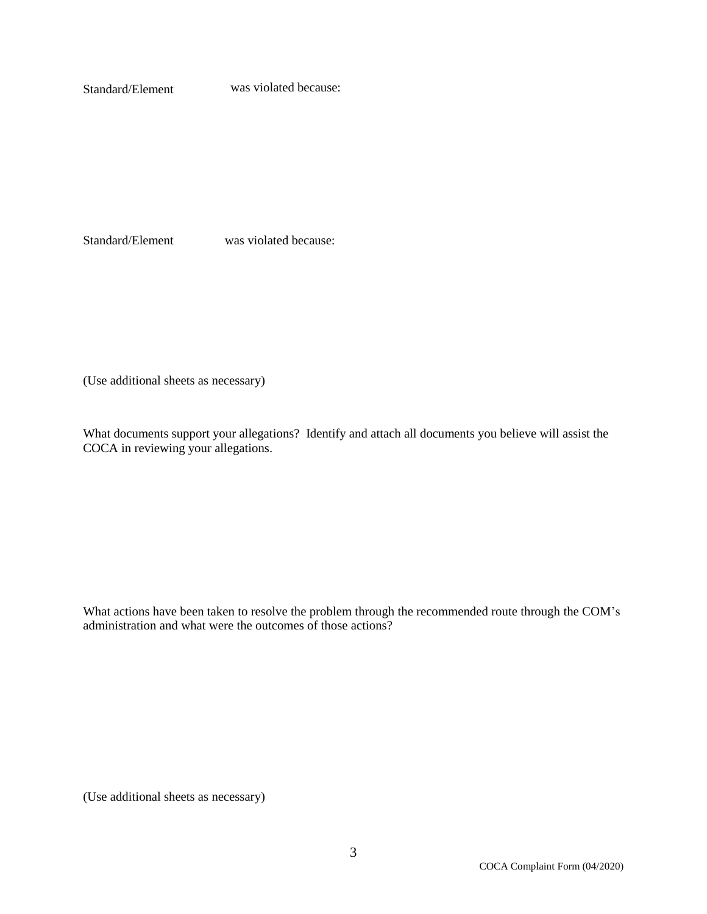Standard/Element was violated because:

Standard/Element was violated because:

(Use additional sheets as necessary)

What documents support your allegations? Identify and attach all documents you believe will assist the COCA in reviewing your allegations.

What actions have been taken to resolve the problem through the recommended route through the COM's administration and what were the outcomes of those actions?

(Use additional sheets as necessary)